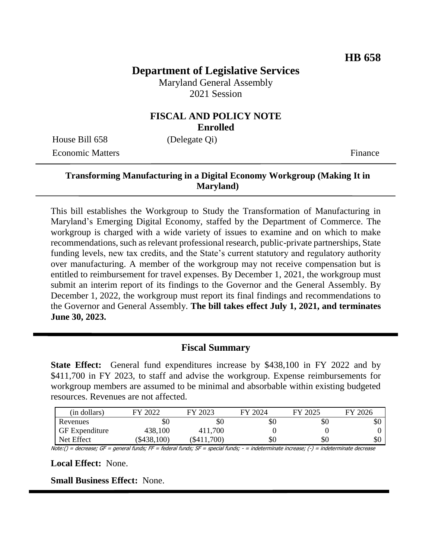# **Department of Legislative Services**

Maryland General Assembly 2021 Session

#### **FISCAL AND POLICY NOTE Enrolled**

House Bill 658 (Delegate Qi) Economic Matters **Finance** 

## **Transforming Manufacturing in a Digital Economy Workgroup (Making It in Maryland)**

This bill establishes the Workgroup to Study the Transformation of Manufacturing in Maryland's Emerging Digital Economy, staffed by the Department of Commerce. The workgroup is charged with a wide variety of issues to examine and on which to make recommendations, such as relevant professional research, public-private partnerships, State funding levels, new tax credits, and the State's current statutory and regulatory authority over manufacturing. A member of the workgroup may not receive compensation but is entitled to reimbursement for travel expenses. By December 1, 2021, the workgroup must submit an interim report of its findings to the Governor and the General Assembly. By December 1, 2022, the workgroup must report its final findings and recommendations to the Governor and General Assembly. **The bill takes effect July 1, 2021, and terminates June 30, 2023.** 

#### **Fiscal Summary**

**State Effect:** General fund expenditures increase by \$438,100 in FY 2022 and by \$411,700 in FY 2023, to staff and advise the workgroup. Expense reimbursements for workgroup members are assumed to be minimal and absorbable within existing budgeted resources. Revenues are not affected.

| (in dollars)          | 2022      | FY 2023     | FY 2024 | FY 2025 | FY 2026 |
|-----------------------|-----------|-------------|---------|---------|---------|
| Revenues              | ъU        | УU          | \$0     | \$0     | \$0     |
| <b>GF</b> Expenditure | 438,100   | 411,700     |         |         |         |
| Net Effect            | \$438,100 | (\$411,700) | \$0     | \$0     | \$0     |

Note:() = decrease; GF = general funds; FF = federal funds; SF = special funds; - = indeterminate increase; (-) = indeterminate decrease

**Local Effect:** None.

**Small Business Effect:** None.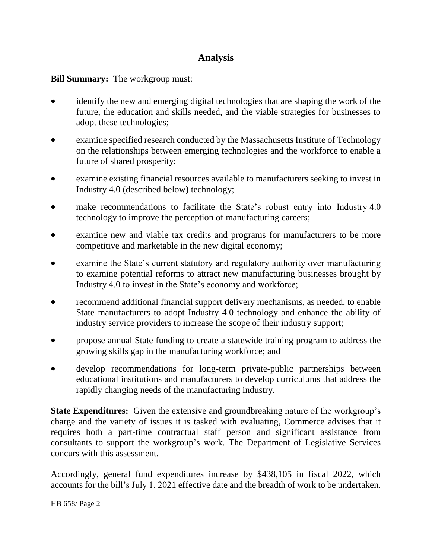## **Analysis**

## **Bill Summary:** The workgroup must:

- identify the new and emerging digital technologies that are shaping the work of the future, the education and skills needed, and the viable strategies for businesses to adopt these technologies;
- examine specified research conducted by the Massachusetts Institute of Technology on the relationships between emerging technologies and the workforce to enable a future of shared prosperity;
- examine existing financial resources available to manufacturers seeking to invest in Industry 4.0 (described below) technology;
- make recommendations to facilitate the State's robust entry into Industry 4.0 technology to improve the perception of manufacturing careers;
- examine new and viable tax credits and programs for manufacturers to be more competitive and marketable in the new digital economy;
- examine the State's current statutory and regulatory authority over manufacturing to examine potential reforms to attract new manufacturing businesses brought by Industry 4.0 to invest in the State's economy and workforce;
- recommend additional financial support delivery mechanisms, as needed, to enable State manufacturers to adopt Industry 4.0 technology and enhance the ability of industry service providers to increase the scope of their industry support;
- propose annual State funding to create a statewide training program to address the growing skills gap in the manufacturing workforce; and
- develop recommendations for long-term private-public partnerships between educational institutions and manufacturers to develop curriculums that address the rapidly changing needs of the manufacturing industry.

**State Expenditures:** Given the extensive and groundbreaking nature of the workgroup's charge and the variety of issues it is tasked with evaluating, Commerce advises that it requires both a part-time contractual staff person and significant assistance from consultants to support the workgroup's work. The Department of Legislative Services concurs with this assessment.

Accordingly, general fund expenditures increase by \$438,105 in fiscal 2022, which accounts for the bill's July 1, 2021 effective date and the breadth of work to be undertaken.

HB 658/ Page 2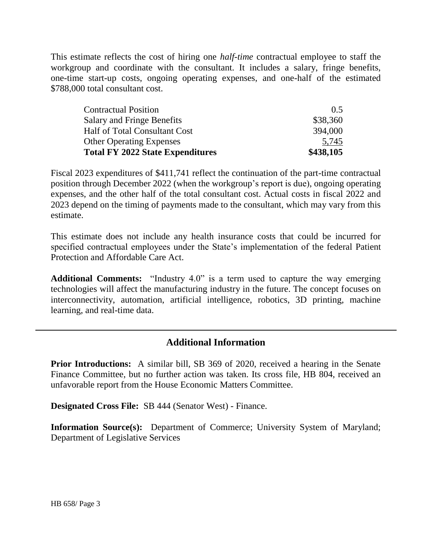This estimate reflects the cost of hiring one *half-time* contractual employee to staff the workgroup and coordinate with the consultant. It includes a salary, fringe benefits, one-time start-up costs, ongoing operating expenses, and one-half of the estimated \$788,000 total consultant cost.

| \$438,105 |
|-----------|
| 5,745     |
| 394,000   |
| \$38,360  |
| 0.5       |
|           |

Fiscal 2023 expenditures of \$411,741 reflect the continuation of the part-time contractual position through December 2022 (when the workgroup's report is due), ongoing operating expenses, and the other half of the total consultant cost. Actual costs in fiscal 2022 and 2023 depend on the timing of payments made to the consultant, which may vary from this estimate.

This estimate does not include any health insurance costs that could be incurred for specified contractual employees under the State's implementation of the federal Patient Protection and Affordable Care Act.

**Additional Comments:** "Industry 4.0" is a term used to capture the way emerging technologies will affect the manufacturing industry in the future. The concept focuses on interconnectivity, automation, artificial intelligence, robotics, 3D printing, machine learning, and real-time data.

## **Additional Information**

**Prior Introductions:** A similar bill, SB 369 of 2020, received a hearing in the Senate Finance Committee, but no further action was taken. Its cross file, HB 804, received an unfavorable report from the House Economic Matters Committee.

**Designated Cross File:** SB 444 (Senator West) - Finance.

**Information Source(s):** Department of Commerce; University System of Maryland; Department of Legislative Services